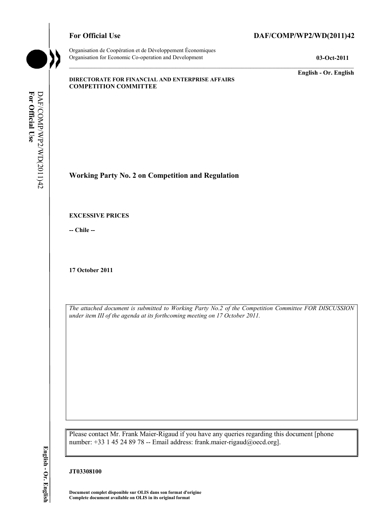## For Official Use DAF/COMP/WP2/WD(2011)42

Organisation for Economic Co-operation and Development **03-Oct-2011** 

**English - Or. English** 

#### **DIRECTORATE FOR FINANCIAL AND ENTERPRISE AFFAIRS COMPETITION COMMITTEE**

For Official Use DAF/COMP/WP2/WD(2011)42 **For Official Use**  DAF/COMP/WP2/WD(2011)42

**Working Party No. 2 on Competition and Regulation** 

#### **EXCESSIVE PRICES**

**-- Chile --** 

**17 October 2011** 

*The attached document is submitted to Working Party No.2 of the Competition Committee FOR DISCUSSION under item III of the agenda at its forthcoming meeting on 17 October 2011.* 

Please contact Mr. Frank Maier-Rigaud if you have any queries regarding this document [phone number: +33 1 45 24 89 78 -- Email address: frank.maier-rigaud@oecd.org].

#### **JT03308100**

**Document complet disponible sur OLIS dans son format d'origine Complete document available on OLIS in its original format**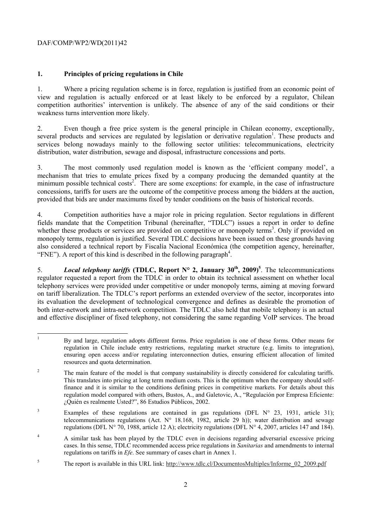## **1. Principles of pricing regulations in Chile**

1. Where a pricing regulation scheme is in force, regulation is justified from an economic point of view and regulation is actually enforced or at least likely to be enforced by a regulator, Chilean competition authorities' intervention is unlikely. The absence of any of the said conditions or their weakness turns intervention more likely.

2. Even though a free price system is the general principle in Chilean economy, exceptionally, several products and services are regulated by legislation or derivative regulation<sup>1</sup>. These products and services belong nowadays mainly to the following sector utilities: telecommunications, electricity distribution, water distribution, sewage and disposal, infrastructure concessions and ports.

3. The most commonly used regulation model is known as the 'efficient company model', a mechanism that tries to emulate prices fixed by a company producing the demanded quantity at the minimum possible technical costs<sup>2</sup>. There are some exceptions: for example, in the case of infrastructure concessions, tariffs for users are the outcome of the competitive process among the bidders at the auction, provided that bids are under maximums fixed by tender conditions on the basis of historical records.

4. Competition authorities have a major role in pricing regulation. Sector regulations in different fields mandate that the Competition Tribunal (hereinafter, "TDLC") issues a report in order to define whether these products or services are provided on competitive or monopoly terms<sup>3</sup>. Only if provided on monopoly terms, regulation is justified. Several TDLC decisions have been issued on these grounds having also considered a technical report by Fiscalía Nacional Económica (the competition agency, hereinafter, "FNE"). A report of this kind is described in the following paragraph<sup>4</sup>.

5. *Local telephony tariffs* (TDLC, Report  $N^{\circ}$  2, January 30<sup>th</sup>, 2009)<sup>5</sup>. The telecommunications regulator requested a report from the TDLC in order to obtain its technical assessment on whether local telephony services were provided under competitive or under monopoly terms, aiming at moving forward on tariff liberalization. The TDLC's report performs an extended overview of the sector, incorporates into its evaluation the development of technological convergence and defines as desirable the promotion of both inter-network and intra-network competition. The TDLC also held that mobile telephony is an actual and effective discipliner of fixed telephony, not considering the same regarding VoIP services. The broad

4 A similar task has been played by the TDLC even in decisions regarding adversarial excessive pricing cases. In this sense, TDLC recommended access price regulations in *Sanitarias* and amendments to internal regulations on tariffs in *Efe*. See summary of cases chart in Annex 1.

 $\frac{1}{1}$  By and large, regulation adopts different forms. Price regulation is one of these forms. Other means for regulation in Chile include entry restrictions, regulating market structure (e.g. limits to integration), ensuring open access and/or regulating interconnection duties, ensuring efficient allocation of limited resources and quota determination.

<sup>2</sup> The main feature of the model is that company sustainability is directly considered for calculating tariffs. This translates into pricing at long term medium costs. This is the optimum when the company should selffinance and it is similar to the conditions defining prices in competitive markets. For details about this regulation model compared with others, Bustos, A., and Galetovic, A., "Regulación por Empresa Eficiente: ¿Quién es realmente Usted?", 86 Estudios Públicos, 2002.

<sup>3</sup> Examples of these regulations are contained in gas regulations (DFL  $N^{\circ}$  23, 1931, article 31); telecommunications regulations (Act.  $N^{\circ}$  18.168, 1982, article 29 h)); water distribution and sewage regulations (DFL N° 70, 1988, article 12 A); electricity regulations (DFL N° 4, 2007, articles 147 and 184).

<sup>5</sup> The report is available in this URL link: http://www.tdlc.cl/DocumentosMultiples/Informe\_02\_2009.pdf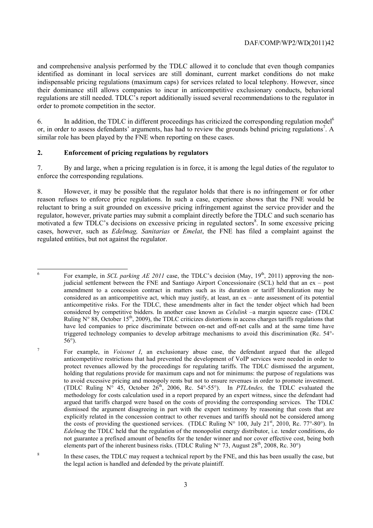and comprehensive analysis performed by the TDLC allowed it to conclude that even though companies identified as dominant in local services are still dominant, current market conditions do not make indispensable pricing regulations (maximum caps) for services related to local telephony. However, since their dominance still allows companies to incur in anticompetitive exclusionary conducts, behavioral regulations are still needed. TDLC's report additionally issued several recommendations to the regulator in order to promote competition in the sector.

6. In addition, the TDLC in different proceedings has criticized the corresponding regulation model<sup>6</sup> or, in order to assess defendants' arguments, has had to review the grounds behind pricing regulations<sup>7</sup>. A similar role has been played by the FNE when reporting on these cases.

#### **2. Enforcement of pricing regulations by regulators**

6

7

7. By and large, when a pricing regulation is in force, it is among the legal duties of the regulator to enforce the corresponding regulations.

8. However, it may be possible that the regulator holds that there is no infringement or for other reason refuses to enforce price regulations. In such a case, experience shows that the FNE would be reluctant to bring a suit grounded on excessive pricing infringement against the service provider and the regulator, however, private parties may submit a complaint directly before the TDLC and such scenario has motivated a few TDLC's decisions on excessive pricing in regulated sectors<sup>8</sup>. In some excessive pricing cases, however, such as *Edelmag, Sanitarias* or *Emelat*, the FNE has filed a complaint against the regulated entities, but not against the regulator.

For example, in *SCL parking AE 2011* case, the TDLC's decision (May, 19<sup>th</sup>, 2011) approving the nonjudicial settlement between the FNE and Santiago Airport Concessionaire (SCL) held that an ex – post amendment to a concession contract in matters such as its duration or tariff liberalization may be considered as an anticompetitive act, which may justify, at least, an ex – ante assessment of its potential anticompetitive risks. For the TDLC, these amendments alter in fact the tender object which had been considered by competitive bidders. In another case known as *Celulink* –a margin squeeze case- (TDLC Ruling  $N^{\circ}$  88, October 15<sup>th</sup>, 2009), the TDLC criticizes distortions in access charges tariffs regulations that have led companies to price discriminate between on-net and off-net calls and at the same time have triggered technology companies to develop arbitrage mechanisms to avoid this discrimination (Rc. 54°- 56°).

For example, in *Voissnet I*, an exclusionary abuse case, the defendant argued that the alleged anticompetitive restrictions that had prevented the development of VoIP services were needed in order to protect revenues allowed by the proceedings for regulating tariffs. The TDLC dismissed the argument, holding that regulations provide for maximum caps and not for minimums: the purpose of regulations was to avoid excessive pricing and monopoly rents but not to ensure revenues in order to promote investment. (TDLC Ruling N° 45, October 26th, 2006, Rc. 54°-55°). In *PTLAndes,* the TDLC evaluated the methodology for costs calculation used in a report prepared by an expert witness, since the defendant had argued that tariffs charged were based on the costs of providing the corresponding services. The TDLC dismissed the argument disagreeing in part with the expert testimony by reasoning that costs that are explicitly related in the concession contract to other revenues and tariffs should not be considered among the costs of providing the questioned services. (TDLC Ruling  $N^{\circ}$  100, July 21<sup>st</sup>, 2010, Rc. 77°-80°). In *Edelmag* the TDLC held that the regulation of the monopolist energy distributor, i.e. tender conditions, do not guarantee a prefixed amount of benefits for the tender winner and nor cover effective cost, being both elements part of the inherent business risks. (TDLC Ruling  $N^{\circ}$  73, August 28<sup>th</sup>, 2008, Rc. 30°)

<sup>8</sup> In these cases, the TDLC may request a technical report by the FNE, and this has been usually the case, but the legal action is handled and defended by the private plaintiff.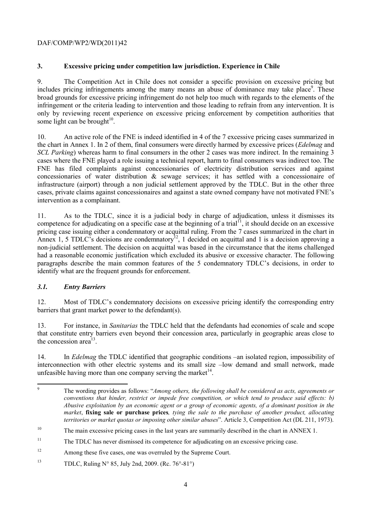## **3. Excessive pricing under competition law jurisdiction. Experience in Chile**

9. The Competition Act in Chile does not consider a specific provision on excessive pricing but includes pricing infringements among the many means an abuse of dominance may take place<sup>9</sup>. These broad grounds for excessive pricing infringement do not help too much with regards to the elements of the infringement or the criteria leading to intervention and those leading to refrain from any intervention. It is only by reviewing recent experience on excessive pricing enforcement by competition authorities that some light can be brought $10$ .

10. An active role of the FNE is indeed identified in 4 of the 7 excessive pricing cases summarized in the chart in Annex 1. In 2 of them, final consumers were directly harmed by excessive prices (*Edelmag* and *SCL Parking*) whereas harm to final consumers in the other 2 cases was more indirect. In the remaining 3 cases where the FNE played a role issuing a technical report, harm to final consumers was indirect too. The FNE has filed complaints against concessionaries of electricity distribution services and against concessionaries of water distribution & sewage services; it has settled with a concessionaire of infrastructure (airport) through a non judicial settlement approved by the TDLC. But in the other three cases, private claims against concessionaires and against a state owned company have not motivated FNE's intervention as a complainant.

11. As to the TDLC, since it is a judicial body in charge of adjudication, unless it dismisses its competence for adjudicating on a specific case at the beginning of a trial<sup> $11$ </sup>, it should decide on an excessive pricing case issuing either a condemnatory or acquittal ruling. From the 7 cases summarized in the chart in Annex 1, 5 TDLC's decisions are condemnatory<sup>12</sup>, 1 decided on acquittal and 1 is a decision approving a non-judicial settlement. The decision on acquittal was based in the circumstance that the items challenged had a reasonable economic justification which excluded its abusive or excessive character. The following paragraphs describe the main common features of the 5 condemnatory TDLC's decisions, in order to identify what are the frequent grounds for enforcement.

## *3.1. Entry Barriers*

12. Most of TDLC's condemnatory decisions on excessive pricing identify the corresponding entry barriers that grant market power to the defendant(s).

13. For instance, in *Sanitarias* the TDLC held that the defendants had economies of scale and scope that constitute entry barriers even beyond their concession area, particularly in geographic areas close to the concession area<sup>13</sup>.

14. In *Edelmag* the TDLC identified that geographic conditions –an isolated region, impossibility of interconnection with other electric systems and its small size –low demand and small network, made unfeasible having more than one company serving the market $14$ .

<sup>&</sup>lt;sup>9</sup> The wording provides as follows: "*Among others, the following shall be considered as acts, agreements or conventions that hinder, restrict or impede free competition, or which tend to produce said effects: b) Abusive exploitation by an economic agent or a group of economic agents, of a dominant position in the market*, **fixing sale or purchase prices***, tying the sale to the purchase of another product, allocating territories or market quotas or imposing other similar abuses*". Article 3, Competition Act (DL 211, 1973).

<sup>&</sup>lt;sup>10</sup> The main excessive pricing cases in the last years are summarily described in the chart in ANNEX 1.

<sup>&</sup>lt;sup>11</sup> The TDLC has never dismissed its competence for adjudicating on an excessive pricing case.

<sup>&</sup>lt;sup>12</sup> Among these five cases, one was overruled by the Supreme Court.

<sup>&</sup>lt;sup>13</sup> TDLC, Ruling N° 85, July 2nd, 2009. (Rc. 76°-81°)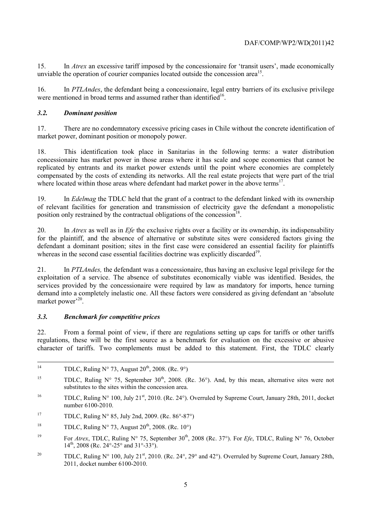15. In *Atrex* an excessive tariff imposed by the concessionaire for 'transit users', made economically unviable the operation of courier companies located outside the concession area<sup>15</sup>.

16. In *PTLAndes*, the defendant being a concessionaire, legal entry barriers of its exclusive privilege were mentioned in broad terms and assumed rather than identified<sup>16</sup>.

#### *3.2. Dominant position*

17. There are no condemnatory excessive pricing cases in Chile without the concrete identification of market power, dominant position or monopoly power.

18. This identification took place in Sanitarias in the following terms: a water distribution concessionaire has market power in those areas where it has scale and scope economies that cannot be replicated by entrants and its market power extends until the point where economies are completely compensated by the costs of extending its networks. All the real estate projects that were part of the trial where located within those areas where defendant had market power in the above terms<sup>17</sup>.

19. In *Edelmag* the TDLC held that the grant of a contract to the defendant linked with its ownership of relevant facilities for generation and transmission of electricity gave the defendant a monopolistic position only restrained by the contractual obligations of the concession<sup>18</sup>.

20. In *Atrex* as well as in *Efe* the exclusive rights over a facility or its ownership, its indispensability for the plaintiff, and the absence of alternative or substitute sites were considered factors giving the defendant a dominant position; sites in the first case were considered an essential facility for plaintiffs whereas in the second case essential facilities doctrine was explicitly discarded<sup>19</sup>.

21. In *PTLAndes,* the defendant was a concessionaire, thus having an exclusive legal privilege for the exploitation of a service. The absence of substitutes economically viable was identified. Besides, the services provided by the concessionaire were required by law as mandatory for imports, hence turning demand into a completely inelastic one. All these factors were considered as giving defendant an 'absolute market power<sup>,20</sup>.

## *3.3. Benchmark for competitive prices*

22. From a formal point of view, if there are regulations setting up caps for tariffs or other tariffs regulations, these will be the first source as a benchmark for evaluation on the excessive or abusive character of tariffs. Two complements must be added to this statement. First, the TDLC clearly

| 14 | TDLC, Ruling N° 73, August $20^{th}$ , 2008. (Rc. 9°)                                                                                                                            |
|----|----------------------------------------------------------------------------------------------------------------------------------------------------------------------------------|
| 15 | TDLC, Ruling $N^{\circ}$ 75, September 30 <sup>th</sup> , 2008. (Rc. 36°). And, by this mean, alternative sites were not<br>substitutes to the sites within the concession area. |
| 16 | TDLC, Ruling $N^{\circ}$ 100, July 21 <sup>st</sup> , 2010. (Rc. 24°). Overruled by Supreme Court, January 28th, 2011, docket<br>number 6100-2010.                               |
| 17 | TDLC, Ruling N° 85, July 2nd, 2009. (Rc. 86°-87°)                                                                                                                                |
| 18 | TDLC, Ruling N° 73, August $20^{th}$ , 2008. (Rc. 10°)                                                                                                                           |
| 19 | For Atrex, TDLC, Ruling N° 75, September 30 <sup>th</sup> , 2008 (Rc. 37°). For <i>Efe</i> , TDLC, Ruling N° 76, October<br>$14^{th}$ , 2008 (Rc. 24°-25° and 31°-33°).          |

<sup>20</sup> TDLC, Ruling N° 100, July 21<sup>st</sup>, 2010. (Rc. 24°, 29° and 42°). Overruled by Supreme Court, January 28th, 2011, docket number 6100-2010.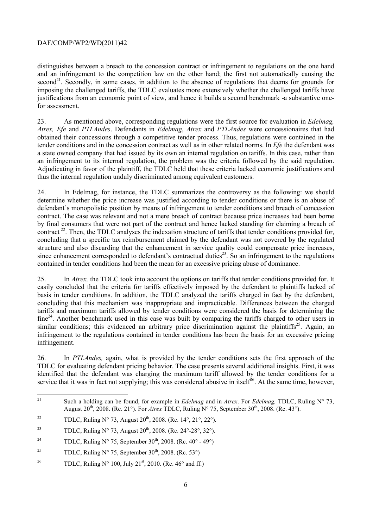distinguishes between a breach to the concession contract or infringement to regulations on the one hand and an infringement to the competition law on the other hand; the first not automatically causing the  $\gamma$  second<sup>21</sup>. Secondly, in some cases, in addition to the absence of regulations that deems for grounds for imposing the challenged tariffs, the TDLC evaluates more extensively whether the challenged tariffs have justifications from an economic point of view, and hence it builds a second benchmark -a substantive onefor assessment.

23. As mentioned above, corresponding regulations were the first source for evaluation in *Edelmag, Atrex, Efe* and *PTLAndes*. Defendants in *Edelmag*, *Atrex* and *PTLAndes* were concessionaires that had obtained their concessions through a competitive tender process. Thus, regulations were contained in the tender conditions and in the concession contract as well as in other related norms. In *Efe* the defendant was a state owned company that had issued by its own an internal regulation on tariffs. In this case, rather than an infringement to its internal regulation, the problem was the criteria followed by the said regulation. Adjudicating in favor of the plaintiff, the TDLC held that these criteria lacked economic justifications and thus the internal regulation unduly discriminated among equivalent customers.

24. In Edelmag, for instance, the TDLC summarizes the controversy as the following: we should determine whether the price increase was justified according to tender conditions or there is an abuse of defendant's monopolistic position by means of infringement to tender conditions and breach of concession contract. The case was relevant and not a mere breach of contract because price increases had been borne by final consumers that were not part of the contract and hence lacked standing for claiming a breach of contract<sup>22</sup>. Then, the TDLC analyses the indexation structure of tariffs that tender conditions provided for, concluding that a specific tax reimbursement claimed by the defendant was not covered by the regulated structure and also discarding that the enhancement in service quality could compensate price increases, since enhancement corresponded to defendant's contractual duties<sup>23</sup>. So an infringement to the regulations contained in tender conditions had been the mean for an excessive pricing abuse of dominance.

25. In *Atrex,* the TDLC took into account the options on tariffs that tender conditions provided for. It easily concluded that the criteria for tariffs effectively imposed by the defendant to plaintiffs lacked of basis in tender conditions. In addition, the TDLC analyzed the tariffs charged in fact by the defendant, concluding that this mechanism was inappropriate and impracticable. Differences between the charged tariffs and maximum tariffs allowed by tender conditions were considered the basis for determining the fine<sup>24</sup>. Another benchmark used in this case was built by comparing the tariffs charged to other users in similar conditions; this evidenced an arbitrary price discrimination against the plaintiffs<sup>25</sup>. Again, an infringement to the regulations contained in tender conditions has been the basis for an excessive pricing infringement.

26. In *PTLAndes,* again, what is provided by the tender conditions sets the first approach of the TDLC for evaluating defendant pricing behavior. The case presents several additional insights. First, it was identified that the defendant was charging the maximum tariff allowed by the tender conditions for a service that it was in fact not supplying; this was considered abusive in itself $^{26}$ . At the same time, however,

 $21$ Such a holding can be found, for example in *Edelmag* and in *Atrex*. For *Edelmag*, TDLC, Ruling  $N^{\circ}$  73, August 20<sup>th</sup>, 2008. (Rc. 21°). For *Atrex* TDLC, Ruling N° 75, September 30<sup>th</sup>, 2008. (Rc. 43°).

<sup>&</sup>lt;sup>22</sup> TDLC, Ruling N° 73, August 20<sup>th</sup>, 2008. (Rc. 14°, 21°, 22°).

<sup>&</sup>lt;sup>23</sup> TDLC, Ruling N° 73, August 20<sup>th</sup>, 2008. (Rc. 24°-28°, 32°).

<sup>&</sup>lt;sup>24</sup> TDLC, Ruling N° 75, September 30<sup>th</sup>, 2008. (Rc. 40<sup>o</sup> - 49<sup>o</sup>)

<sup>&</sup>lt;sup>25</sup> TDLC, Ruling N° 75, September 30<sup>th</sup>, 2008. (Rc. 53°)

<sup>&</sup>lt;sup>26</sup> TDLC, Ruling N° 100, July 21<sup>st</sup>, 2010. (Rc. 46° and ff.)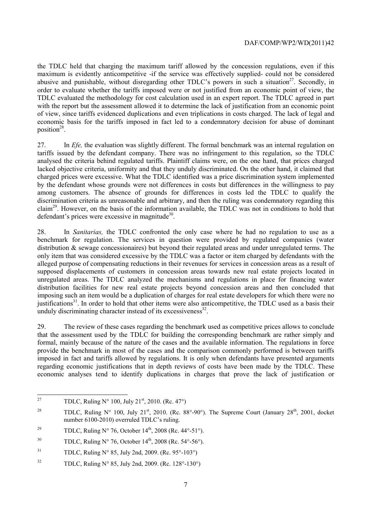the TDLC held that charging the maximum tariff allowed by the concession regulations, even if this maximum is evidently anticompetitive -if the service was effectively supplied- could not be considered abusive and punishable, without disregarding other TDLC's powers in such a situation<sup>27</sup>. Secondly, in order to evaluate whether the tariffs imposed were or not justified from an economic point of view, the TDLC evaluated the methodology for cost calculation used in an expert report. The TDLC agreed in part with the report but the assessment allowed it to determine the lack of justification from an economic point of view, since tariffs evidenced duplications and even triplications in costs charged. The lack of legal and economic basis for the tariffs imposed in fact led to a condemnatory decision for abuse of dominant position<sup>28</sup>.

27. In *Efe,* the evaluation was slightly different. The formal benchmark was an internal regulation on tariffs issued by the defendant company. There was no infringement to this regulation, so the TDLC analysed the criteria behind regulated tariffs. Plaintiff claims were, on the one hand, that prices charged lacked objective criteria, uniformity and that they unduly discriminated. On the other hand, it claimed that charged prices were excessive. What the TDLC identified was a price discrimination system implemented by the defendant whose grounds were not differences in costs but differences in the willingness to pay among customers. The absence of grounds for differences in costs led the TDLC to qualify the discrimination criteria as unreasonable and arbitrary, and then the ruling was condemnatory regarding this claim29. However, on the basis of the information available, the TDLC was not in conditions to hold that defendant's prices were excessive in magnitude $30$ .

28. In *Sanitarias,* the TDLC confronted the only case where he had no regulation to use as a benchmark for regulation. The services in question were provided by regulated companies (water distribution & sewage concessionaires) but beyond their regulated areas and under unregulated terms. The only item that was considered excessive by the TDLC was a factor or item charged by defendants with the alleged purpose of compensating reductions in their revenues for services in concession areas as a result of supposed displacements of customers in concession areas towards new real estate projects located in unregulated areas. The TDLC analyzed the mechanisms and regulations in place for financing water distribution facilities for new real estate projects beyond concession areas and then concluded that imposing such an item would be a duplication of charges for real estate developers for which there were no justifications<sup>31</sup>. In order to hold that other items were also anticompetitive, the TDLC used as a basis their unduly discriminating character instead of its excessiveness $^{32}$ .

29. The review of these cases regarding the benchmark used as competitive prices allows to conclude that the assessment used by the TDLC for building the corresponding benchmark are rather simply and formal, mainly because of the nature of the cases and the available information. The regulations in force provide the benchmark in most of the cases and the comparison commonly performed is between tariffs imposed in fact and tariffs allowed by regulations. It is only when defendants have presented arguments regarding economic justifications that in depth reviews of costs have been made by the TDLC. These economic analyses tend to identify duplications in charges that prove the lack of justification or

 $27$ TDLC, Ruling  $N^{\circ}$  100, July 21<sup>st</sup>, 2010. (Rc. 47°)

<sup>&</sup>lt;sup>28</sup> TDLC, Ruling N° 100, July 21<sup>st</sup>, 2010. (Rc. 88°-90°). The Supreme Court (January 28<sup>th</sup>, 2001, docket number 6100-2010) overruled TDLC's ruling.

<sup>&</sup>lt;sup>29</sup> TDLC, Ruling N° 76, October 14<sup>th</sup>, 2008 (Rc. 44°-51°).

<sup>&</sup>lt;sup>30</sup> TDLC, Ruling N° 76, October 14<sup>th</sup>, 2008 (Rc. 54°-56°).

<sup>&</sup>lt;sup>31</sup> TDLC, Ruling N° 85, July 2nd, 2009. (Rc. 95°-103°)

<sup>&</sup>lt;sup>32</sup> TDLC, Ruling N° 85, July 2nd, 2009. (Rc. 128°-130°)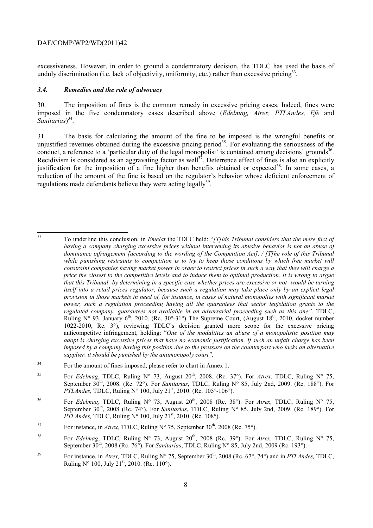excessiveness. However, in order to ground a condemnatory decision, the TDLC has used the basis of unduly discrimination (i.e. lack of objectivity, uniformity, etc.) rather than excessive pricing<sup>33</sup>.

#### *3.4. Remedies and the role of advocacy*

30. The imposition of fines is the common remedy in excessive pricing cases. Indeed, fines were imposed in the five condemnatory cases described above (*Edelmag, Atrex, PTLAndes, Efe* and *Sanitarias*) 34.

31. The basis for calculating the amount of the fine to be imposed is the wrongful benefits or unjustified revenues obtained during the excessive pricing period<sup>35</sup>. For evaluating the seriousness of the conduct, a reference to a 'particular duty of the legal monopolist' is contained among decisions' grounds<sup>36</sup>. Recidivism is considered as an aggravating factor as well<sup>37</sup>. Deterrence effect of fines is also an explicitly justification for the imposition of a fine higher than benefits obtained or expected<sup>38</sup>. In some cases, a reduction of the amount of the fine is based on the regulator's behavior whose deficient enforcement of regulations made defendants believe they were acting  $\text{legal}_y^{39}$ .

 $33$ 33 To underline this conclusion, in *Emelat* the TDLC held: "*[T]his Tribunal considers that the mere fact of having a company charging excessive prices without intervening its abusive behavior is not an abuse of dominance infringement [according to the wording of the Competition Act]. / [T]he role of this Tribunal while punishing restraints to competition is to try to keep those conditions by which free market will constraint companies having market power in order to restrict prices in such a way that they will charge a price the closest to the competitive levels and to induce them to optimal production. It is wrong to argue that this Tribunal -by determining in a specific case whether prices are excessive or not- would be turning itself into a retail prices regulator, because such a regulation may take place only by an explicit legal provision in those markets in need of, for instance, in cases of natural monopolies with significant market power, such a regulation proceeding having all the guarantees that sector legislation grants to the regulated company, guarantees not available in an adversarial proceeding such as this one".* TDLC, Ruling N° 93, January  $6<sup>th</sup>$ , 2010. (Rc. 30°-31°) The Supreme Court, (August 18<sup>th</sup>, 2010, docket number 1022-2010, Rc. 3°), reviewing TDLC's decision granted more scope for the excessive pricing anticompetitve infringement, holding: "*One of the modalities an abuse of a monopolistic position may adopt is charging excessive prices that have no economic justification. If such an unfair charge has been imposed by a company having this position due to the pressure on the counterpart who lacks an alternative supplier, it should be punished by the antimonopoly court".* 

<sup>&</sup>lt;sup>34</sup> For the amount of fines imposed, please refer to chart in Annex 1.

<sup>&</sup>lt;sup>35</sup> For *Edelmag*, TDLC, Ruling N° 73, August 20<sup>th</sup>, 2008. (Rc. 37°). For *Atrex*, TDLC, Ruling N° 75, September 30<sup>th</sup>, 2008. (Rc. 72°). For *Sanitarias*, TDLC, Ruling N° 85, July 2nd, 2009. (Rc. 188°). For *PTLAndes, TDLC, Ruling N° 100, July 21<sup>st</sup>, 2010. (Rc. 105°-106°).* 

<sup>&</sup>lt;sup>36</sup> For *Edelmag*, TDLC, Ruling N° 73, August 20<sup>th</sup>, 2008 (Rc. 38°). For *Atrex*, TDLC, Ruling N° 75, September 30<sup>th</sup>, 2008 (Rc. 74°). For *Sanitarias*, TDLC, Ruling N° 85, July 2nd, 2009. (Rc. 189°). For *PTLAndes, TDLC, Ruling N° 100, July 21<sup>st</sup>, 2010. (Rc. 108°).* 

<sup>&</sup>lt;sup>37</sup> For instance, in *Atrex*, TDLC, Ruling  $N^{\circ}$  75, September 30<sup>th</sup>, 2008 (Rc. 75°).

<sup>&</sup>lt;sup>38</sup> For *Edelmag*, TDLC, Ruling N° 73, August 20<sup>th</sup>, 2008 (Rc. 39°). For *Atrex*, TDLC, Ruling N° 75, September 30th, 2008 (Rc. 76°). For *Sanitarias*, TDLC, Ruling N° 85, July 2nd, 2009 (Rc. 193°).

<sup>&</sup>lt;sup>39</sup> For instance, in *Atrex*, TDLC, Ruling N° 75, September 30<sup>th</sup>, 2008 (Rc. 67°, 74°) and in *PTLAndes*, TDLC, Ruling  $N^{\circ}$  100, July 21<sup>st</sup>, 2010. (Rc. 110°).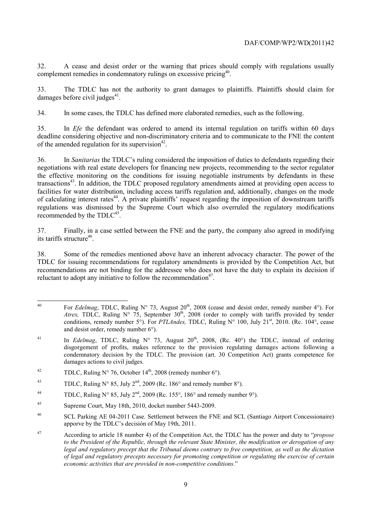32. A cease and desist order or the warning that prices should comply with regulations usually complement remedies in condemnatory rulings on excessive pricing<sup>40</sup>.

33. The TDLC has not the authority to grant damages to plaintiffs. Plaintiffs should claim for damages before civil judges $41$ .

34. In some cases, the TDLC has defined more elaborated remedies, such as the following.

35. In *Efe* the defendant was ordered to amend its internal regulation on tariffs within 60 days deadline considering objective and non-discriminatory criteria and to communicate to the FNE the content of the amended regulation for its supervision<sup>42</sup>.

36. In *Sanitarias* the TDLC's ruling considered the imposition of duties to defendants regarding their negotiations with real estate developers for financing new projects, recommending to the sector regulator the effective monitoring on the conditions for issuing negotiable instruments by defendants in these transactions<sup>43</sup>. In addition, the TDLC proposed regulatory amendments aimed at providing open access to facilities for water distribution, including access tariffs regulation and, additionally, changes on the mode of calculating interest rates<sup>44</sup>. A private plaintiffs' request regarding the imposition of downstream tariffs regulations was dismissed by the Supreme Court which also overruled the regulatory modifications recommended by the  $TDLC<sup>45</sup>$ .

37. Finally, in a case settled between the FNE and the party, the company also agreed in modifying its tariffs structure<sup>46</sup>

38. Some of the remedies mentioned above have an inherent advocacy character. The power of the TDLC for issuing recommendations for regulatory amendments is provided by the Competition Act, but recommendations are not binding for the addressee who does not have the duty to explain its decision if reluctant to adopt any initiative to follow the recommendation<sup>47</sup>.

- <sup>42</sup> TDLC, Ruling N° 76, October  $14<sup>th</sup>$ , 2008 (remedy number 6°).
- <sup>43</sup> TDLC, Ruling N° 85, July  $2<sup>nd</sup>$ , 2009 (Rc. 186° and remedy number 8°).
- <sup>44</sup> TDLC, Ruling N° 85, July 2<sup>nd</sup>, 2009 (Rc. 155°, 186° and remedy number 9°).
- 45 Supreme Court, May 18th, 2010, docket number 5443-2009.

 $40<sup>1</sup>$ For *Edelmag*, TDLC, Ruling N° 73, August 20<sup>th</sup>, 2008 (cease and desist order, remedy number 4°). For *Atrex,* TDLC, Ruling  $N^{\circ}$  75, September 30<sup>th</sup>, 2008 (order to comply with tariffs provided by tender conditions, remedy number 5°). For *PTLAndes,* TDLC, Ruling N° 100, July 21st, 2010. (Rc. 104°, cease and desist order, remedy number 6°).

<sup>&</sup>lt;sup>41</sup> In *Edelmag*, TDLC, Ruling  $N^{\circ}$  73, August 20<sup>th</sup>, 2008, (Rc. 40°) the TDLC, instead of ordering disgorgement of profits, makes reference to the provision regulating damages actions following a condemnatory decision by the TDLC. The provision (art. 30 Competition Act) grants competence for damages actions to civil judges.

<sup>46</sup> SCL Parking AE 04-2011 Case. Settlement between the FNE and SCL (Santiago Airport Concessionaire) apporve by the TDLC's decisión of May 19th, 2011.

<sup>47</sup> According to article 18 number 4) of the Competition Act, the TDLC has the power and duty to "*propose to the President of the Republic, through the relevant State Minister, the modification or derogation of any legal and regulatory precept that the Tribunal deems contrary to free competition, as well as the dictation of legal and regulatory precepts necessary for promoting competition or regulating the exercise of certain economic activities that are provided in non-competitive conditions.*"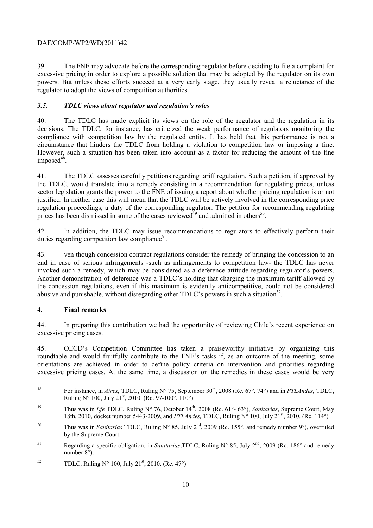39. The FNE may advocate before the corresponding regulator before deciding to file a complaint for excessive pricing in order to explore a possible solution that may be adopted by the regulator on its own powers. But unless these efforts succeed at a very early stage, they usually reveal a reluctance of the regulator to adopt the views of competition authorities.

## *3.5. TDLC views about regulator and regulation's roles*

40. The TDLC has made explicit its views on the role of the regulator and the regulation in its decisions. The TDLC, for instance, has criticized the weak performance of regulators monitoring the compliance with competition law by the regulated entity. It has held that this performance is not a circumstance that hinders the TDLC from holding a violation to competition law or imposing a fine. However, such a situation has been taken into account as a factor for reducing the amount of the fine  $imposed<sup>48</sup>$ .

41. The TDLC assesses carefully petitions regarding tariff regulation. Such a petition, if approved by the TDLC, would translate into a remedy consisting in a recommendation for regulating prices, unless sector legislation grants the power to the FNE of issuing a report about whether pricing regulation is or not justified. In neither case this will mean that the TDLC will be actively involved in the corresponding price regulation proceedings, a duty of the corresponding regulator. The petition for recommending regulating prices has been dismissed in some of the cases reviewed $\tilde{d}^{49}$  and admitted in others<sup>50</sup>.

42. In addition, the TDLC may issue recommendations to regulators to effectively perform their duties regarding competition law compliance $51$ .

43. ven though concession contract regulations consider the remedy of bringing the concession to an end in case of serious infringements -such as infringements to competition law- the TDLC has never invoked such a remedy, which may be considered as a deference attitude regarding regulator's powers. Another demonstration of deference was a TDLC's holding that charging the maximum tariff allowed by the concession regulations, even if this maximum is evidently anticompetitive, could not be considered abusive and punishable, without disregarding other TDLC's powers in such a situation<sup>52</sup>.

## **4. Final remarks**

44. In preparing this contribution we had the opportunity of reviewing Chile's recent experience on excessive pricing cases.

45. OECD's Competition Committee has taken a praiseworthy initiative by organizing this roundtable and would fruitfully contribute to the FNE's tasks if, as an outcome of the meeting, some orientations are achieved in order to define policy criteria on intervention and priorities regarding excessive pricing cases. At the same time, a discussion on the remedies in these cases would be very

<sup>48</sup> For instance, in *Atrex*, TDLC, Ruling N° 75, September 30<sup>th</sup>, 2008 (Rc. 67°, 74°) and in *PTLAndes*, TDLC, Ruling N° 100, July 21<sup>st</sup>, 2010. (Rc. 97-100°, 110°).

<sup>&</sup>lt;sup>49</sup> Thus was in *Efe* TDLC, Ruling N° 76, October 14<sup>th</sup>, 2008 (Rc. 61°- 63°), *Sanitarias*, Supreme Court, May 18th, 2010, docket number 5443-2009, and *PTLAndes,* TDLC, Ruling N° 100, July 21st, 2010. (Rc. 114°)

<sup>50</sup> Thus was in *Sanitarias* TDLC, Ruling N° 85, July 2nd, 2009 (Rc. 155°, and remedy number 9°), overruled by the Supreme Court.

<sup>51</sup> Regarding a specific obligation, in *Sanitarias*,TDLC, Ruling N° 85, July 2nd, 2009 (Rc. 186° and remedy number 8°).

<sup>&</sup>lt;sup>52</sup> TDLC, Ruling N° 100, July 21<sup>st</sup>, 2010. (Rc. 47°)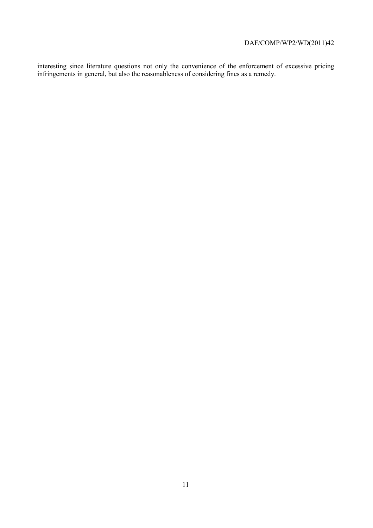interesting since literature questions not only the convenience of the enforcement of excessive pricing infringements in general, but also the reasonableness of considering fines as a remedy.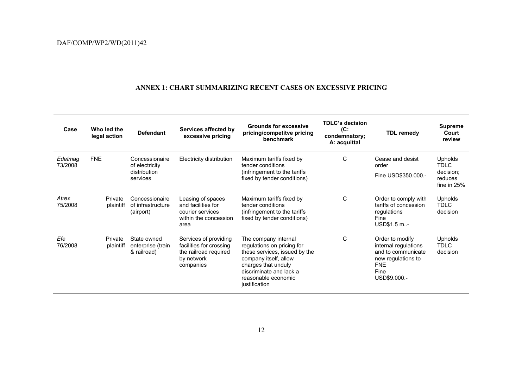#### **ANNEX 1: CHART SUMMARIZING RECENT CASES ON EXCESSIVE PRICING**

| Case               | Who led the<br>legal action | <b>Defendant</b>                                             | Services affected by<br>excessive pricing                                                            | <b>Grounds for excessive</b><br>pricing/competitve pricing<br>benchmark                                                                                                                                | <b>TDLC's decision</b><br>(C)<br>condemnatory:<br>A: acquittal | <b>TDL remedy</b>                                                                                                         | <b>Supreme</b><br>Court<br>review                   |
|--------------------|-----------------------------|--------------------------------------------------------------|------------------------------------------------------------------------------------------------------|--------------------------------------------------------------------------------------------------------------------------------------------------------------------------------------------------------|----------------------------------------------------------------|---------------------------------------------------------------------------------------------------------------------------|-----------------------------------------------------|
| Edelmag<br>73/2008 | <b>FNE</b>                  | Concessionaire<br>of electricity<br>distribution<br>services | Electricity distribution                                                                             | Maximum tariffs fixed by<br>tender conditions<br>(infringement to the tariffs)<br>fixed by tender conditions)                                                                                          | C                                                              | Cease and desist<br>order<br>Fine USD\$350.000.-                                                                          | Upholds<br><b>TDLC</b><br>decision;<br>reduces      |
| Atrex<br>75/2008   | Private<br>plaintiff        | Concessionaire<br>of infrastructure<br>(airport)             | Leasing of spaces<br>and facilities for<br>courier services<br>within the concession<br>area         | Maximum tariffs fixed by<br>tender conditions<br>(infringement to the tariffs)<br>fixed by tender conditions)                                                                                          | C                                                              | Order to comply with<br>tariffs of concession<br>regulations<br>Fine<br>USD\$1.5 m-                                       | fine in $25%$<br>Upholds<br><b>TDLC</b><br>decision |
| Efe<br>76/2008     | Private<br>plaintiff        | State owned<br>enterprise (train<br>& railroad)              | Services of providing<br>facilities for crossing<br>the railroad required<br>by network<br>companies | The company internal<br>regulations on pricing for<br>these services, issued by the<br>company itself, allow<br>charges that unduly<br>discriminate and lack a<br>reasonable economic<br>justification | C                                                              | Order to modify<br>internal regulations<br>and to communicate<br>new regulations to<br><b>FNE</b><br>Fine<br>USD\$9.000.- | <b>Upholds</b><br><b>TDLC</b><br>decision           |